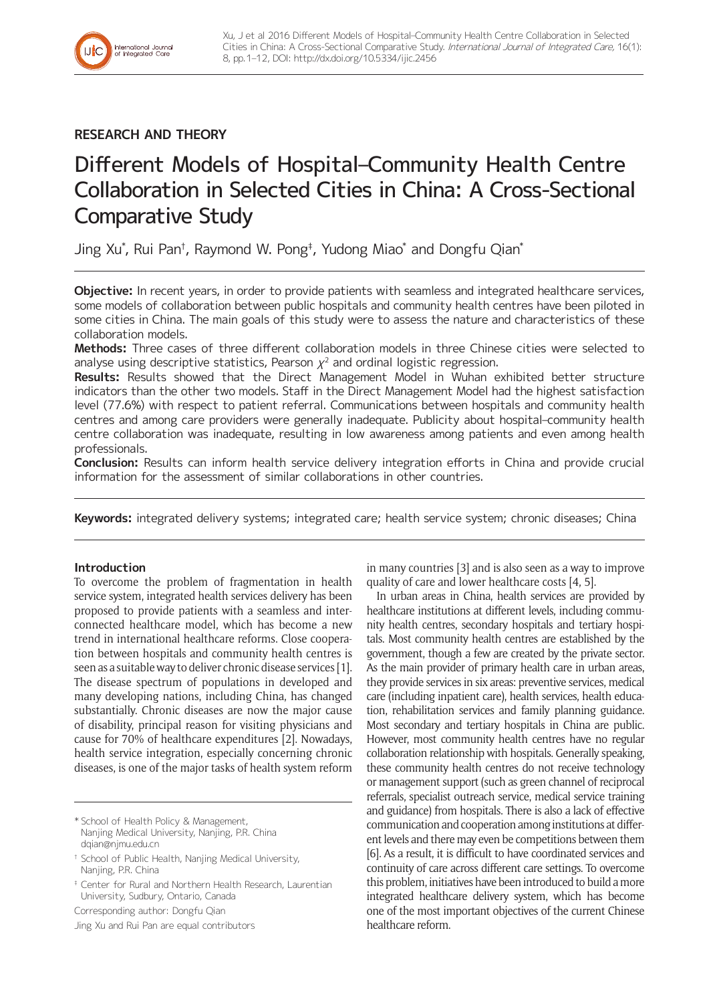

# **RESEARCH AND THEORY**

# Different Models of Hospital–Community Health Centre Collaboration in Selected Cities in China: A Cross-Sectional Comparative Study

Jing Xu\*, Rui Pan†, Raymond W. Pong‡, Yudong Miao\* and Dongfu Qian\*

**Objective:** In recent years, in order to provide patients with seamless and integrated healthcare services, some models of collaboration between public hospitals and community health centres have been piloted in some cities in China. The main goals of this study were to assess the nature and characteristics of these collaboration models.

**Methods:** Three cases of three different collaboration models in three Chinese cities were selected to analyse using descriptive statistics, Pearson  $\chi^2$  and ordinal logistic regression.

**Results:** Results showed that the Direct Management Model in Wuhan exhibited better structure indicators than the other two models. Staff in the Direct Management Model had the highest satisfaction level (77.6%) with respect to patient referral. Communications between hospitals and community health centres and among care providers were generally inadequate. Publicity about hospital–community health centre collaboration was inadequate, resulting in low awareness among patients and even among health professionals.

**Conclusion:** Results can inform health service delivery integration efforts in China and provide crucial information for the assessment of similar collaborations in other countries.

**Keywords:** integrated delivery systems; integrated care; health service system; chronic diseases; China

## **Introduction**

To overcome the problem of fragmentation in health service system, integrated health services delivery has been proposed to provide patients with a seamless and interconnected healthcare model, which has become a new trend in international healthcare reforms. Close cooperation between hospitals and community health centres is seen as a suitable way to deliver chronic disease services [1]. The disease spectrum of populations in developed and many developing nations, including China, has changed substantially. Chronic diseases are now the major cause of disability, principal reason for visiting physicians and cause for 70% of healthcare expenditures [2]. Nowadays, health service integration, especially concerning chronic diseases, is one of the major tasks of health system reform

\* School of Health Policy & Management, Nanjing Medical University, Nanjing, P.R. China [dqian@njmu.edu.cn](mailto:dqian@njmu.edu.cn)

† School of Public Health, Nanjing Medical University, Nanjing, P.R. China

‡ Center for Rural and Northern Health Research, Laurentian University, Sudbury, Ontario, Canada

Corresponding author: Dongfu Qian

Jing Xu and Rui Pan are equal contributors

in many countries [3] and is also seen as a way to improve quality of care and lower healthcare costs [4, 5].

In urban areas in China, health services are provided by healthcare institutions at different levels, including community health centres, secondary hospitals and tertiary hospitals. Most community health centres are established by the government, though a few are created by the private sector. As the main provider of primary health care in urban areas, they provide services in six areas: preventive services, medical care (including inpatient care), health services, health education, rehabilitation services and family planning guidance. Most secondary and tertiary hospitals in China are public. However, most community health centres have no regular collaboration relationship with hospitals. Generally speaking, these community health centres do not receive technology or management support (such as green channel of reciprocal referrals, specialist outreach service, medical service training and guidance) from hospitals. There is also a lack of effective communication and cooperation among institutions at different levels and there may even be competitions between them [6]. As a result, it is difficult to have coordinated services and continuity of care across different care settings. To overcome this problem, initiatives have been introduced to build a more integrated healthcare delivery system, which has become one of the most important objectives of the current Chinese healthcare reform.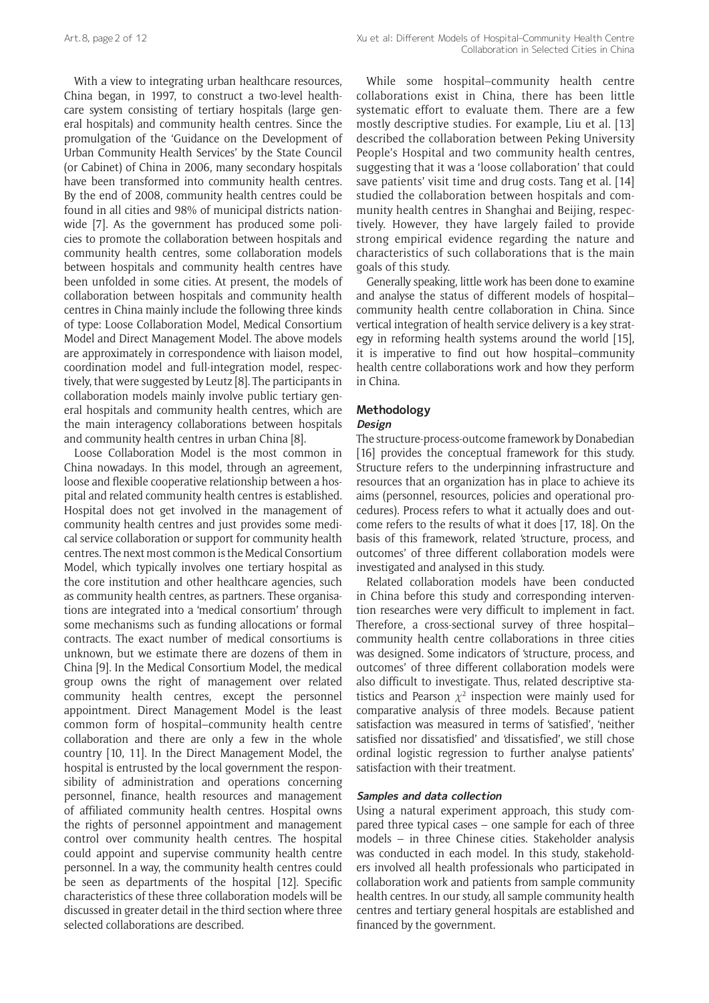With a view to integrating urban healthcare resources, China began, in 1997, to construct a two-level healthcare system consisting of tertiary hospitals (large general hospitals) and community health centres. Since the promulgation of the 'Guidance on the Development of Urban Community Health Services' by the State Council (or Cabinet) of China in 2006, many secondary hospitals have been transformed into community health centres. By the end of 2008, community health centres could be found in all cities and 98% of municipal districts nationwide [7]. As the government has produced some policies to promote the collaboration between hospitals and community health centres, some collaboration models between hospitals and community health centres have been unfolded in some cities. At present, the models of collaboration between hospitals and community health centres in China mainly include the following three kinds of type: Loose Collaboration Model, Medical Consortium Model and Direct Management Model. The above models are approximately in correspondence with liaison model, coordination model and full-integration model, respectively, that were suggested by Leutz [8]. The participants in collaboration models mainly involve public tertiary general hospitals and community health centres, which are the main interagency collaborations between hospitals and community health centres in urban China [8].

Loose Collaboration Model is the most common in China nowadays. In this model, through an agreement, loose and flexible cooperative relationship between a hospital and related community health centres is established. Hospital does not get involved in the management of community health centres and just provides some medical service collaboration or support for community health centres. The next most common is the Medical Consortium Model, which typically involves one tertiary hospital as the core institution and other healthcare agencies, such as community health centres, as partners. These organisations are integrated into a 'medical consortium' through some mechanisms such as funding allocations or formal contracts. The exact number of medical consortiums is unknown, but we estimate there are dozens of them in China [9]. In the Medical Consortium Model, the medical group owns the right of management over related community health centres, except the personnel appointment. Direct Management Model is the least common form of hospital–community health centre collaboration and there are only a few in the whole country [10, 11]. In the Direct Management Model, the hospital is entrusted by the local government the responsibility of administration and operations concerning personnel, finance, health resources and management of affiliated community health centres. Hospital owns the rights of personnel appointment and management control over community health centres. The hospital could appoint and supervise community health centre personnel. In a way, the community health centres could be seen as departments of the hospital [12]. Specific characteristics of these three collaboration models will be discussed in greater detail in the third section where three selected collaborations are described.

While some hospital–community health centre collaborations exist in China, there has been little systematic effort to evaluate them. There are a few mostly descriptive studies. For example, Liu et al. [13] described the collaboration between Peking University People's Hospital and two community health centres, suggesting that it was a 'loose collaboration' that could save patients' visit time and drug costs. Tang et al. [14] studied the collaboration between hospitals and community health centres in Shanghai and Beijing, respectively. However, they have largely failed to provide strong empirical evidence regarding the nature and characteristics of such collaborations that is the main goals of this study.

Generally speaking, little work has been done to examine and analyse the status of different models of hospital– community health centre collaboration in China. Since vertical integration of health service delivery is a key strategy in reforming health systems around the world [15], it is imperative to find out how hospital–community health centre collaborations work and how they perform in China.

# **Methodology**

## **Design**

The structure-process-outcome framework by Donabedian [16] provides the conceptual framework for this study. Structure refers to the underpinning infrastructure and resources that an organization has in place to achieve its aims (personnel, resources, policies and operational procedures). Process refers to what it actually does and outcome refers to the results of what it does [17, 18]. On the basis of this framework, related 'structure, process, and outcomes' of three different collaboration models were investigated and analysed in this study.

Related collaboration models have been conducted in China before this study and corresponding intervention researches were very difficult to implement in fact. Therefore, a cross-sectional survey of three hospital– community health centre collaborations in three cities was designed. Some indicators of 'structure, process, and outcomes' of three different collaboration models were also difficult to investigate. Thus, related descriptive statistics and Pearson  $\chi^2$  inspection were mainly used for comparative analysis of three models. Because patient satisfaction was measured in terms of 'satisfied', 'neither satisfied nor dissatisfied' and 'dissatisfied', we still chose ordinal logistic regression to further analyse patients' satisfaction with their treatment.

## **Samples and data collection**

Using a natural experiment approach, this study compared three typical cases – one sample for each of three models – in three Chinese cities. Stakeholder analysis was conducted in each model. In this study, stakeholders involved all health professionals who participated in collaboration work and patients from sample community health centres. In our study, all sample community health centres and tertiary general hospitals are established and financed by the government.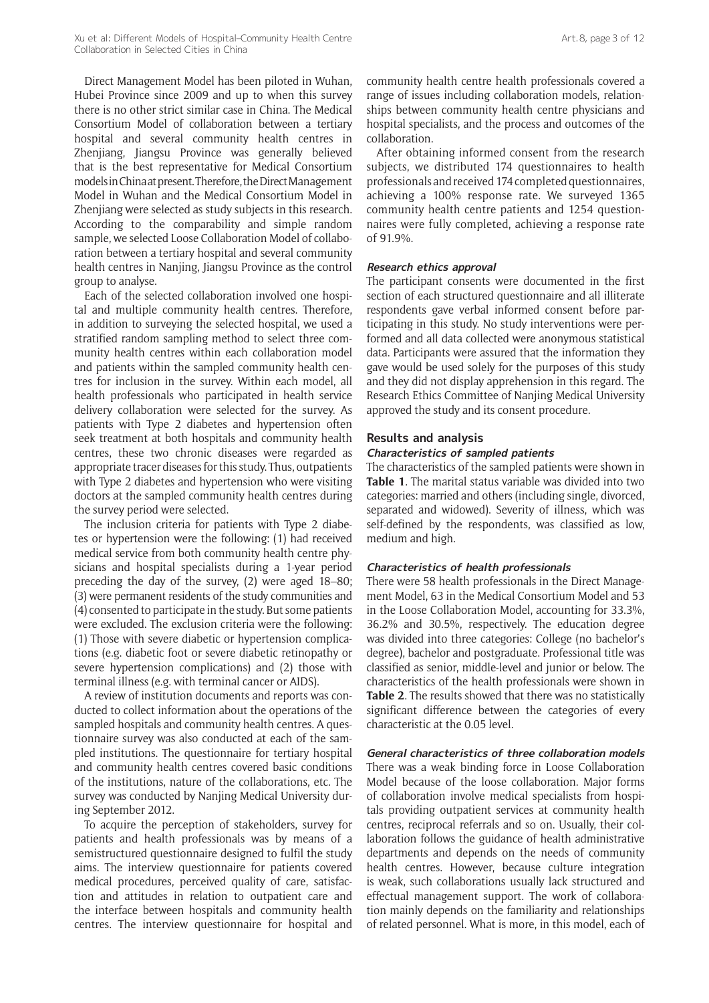Direct Management Model has been piloted in Wuhan, Hubei Province since 2009 and up to when this survey there is no other strict similar case in China. The Medical Consortium Model of collaboration between a tertiary hospital and several community health centres in Zhenjiang, Jiangsu Province was generally believed that is the best representative for Medical Consortium models in China at present. Therefore, the Direct Management Model in Wuhan and the Medical Consortium Model in Zhenjiang were selected as study subjects in this research. According to the comparability and simple random sample, we selected Loose Collaboration Model of collaboration between a tertiary hospital and several community health centres in Nanjing, Jiangsu Province as the control group to analyse.

Each of the selected collaboration involved one hospital and multiple community health centres. Therefore, in addition to surveying the selected hospital, we used a stratified random sampling method to select three community health centres within each collaboration model and patients within the sampled community health centres for inclusion in the survey. Within each model, all health professionals who participated in health service delivery collaboration were selected for the survey. As patients with Type 2 diabetes and hypertension often seek treatment at both hospitals and community health centres, these two chronic diseases were regarded as appropriate tracer diseases for this study. Thus, outpatients with Type 2 diabetes and hypertension who were visiting doctors at the sampled community health centres during the survey period were selected.

The inclusion criteria for patients with Type 2 diabetes or hypertension were the following: (1) had received medical service from both community health centre physicians and hospital specialists during a 1-year period preceding the day of the survey, (2) were aged 18–80; (3) were permanent residents of the study communities and (4) consented to participate in the study. But some patients were excluded. The exclusion criteria were the following: (1) Those with severe diabetic or hypertension complications (e.g. diabetic foot or severe diabetic retinopathy or severe hypertension complications) and (2) those with terminal illness (e.g. with terminal cancer or AIDS).

A review of institution documents and reports was conducted to collect information about the operations of the sampled hospitals and community health centres. A questionnaire survey was also conducted at each of the sampled institutions. The questionnaire for tertiary hospital and community health centres covered basic conditions of the institutions, nature of the collaborations, etc. The survey was conducted by Nanjing Medical University during September 2012.

To acquire the perception of stakeholders, survey for patients and health professionals was by means of a semistructured questionnaire designed to fulfil the study aims. The interview questionnaire for patients covered medical procedures, perceived quality of care, satisfaction and attitudes in relation to outpatient care and the interface between hospitals and community health centres. The interview questionnaire for hospital and

community health centre health professionals covered a range of issues including collaboration models, relationships between community health centre physicians and hospital specialists, and the process and outcomes of the collaboration.

After obtaining informed consent from the research subjects, we distributed 174 questionnaires to health professionals and received 174 completed questionnaires, achieving a 100% response rate. We surveyed 1365 community health centre patients and 1254 questionnaires were fully completed, achieving a response rate of 91.9%.

#### **Research ethics approval**

The participant consents were documented in the first section of each structured questionnaire and all illiterate respondents gave verbal informed consent before participating in this study. No study interventions were performed and all data collected were anonymous statistical data. Participants were assured that the information they gave would be used solely for the purposes of this study and they did not display apprehension in this regard. The Research Ethics Committee of Nanjing Medical University approved the study and its consent procedure.

#### **Results and analysis**

#### **Characteristics of sampled patients**

The characteristics of the sampled patients were shown in **Table 1**. The marital status variable was divided into two categories: married and others (including single, divorced, separated and widowed). Severity of illness, which was self-defined by the respondents, was classified as low, medium and high.

#### **Characteristics of health professionals**

There were 58 health professionals in the Direct Management Model, 63 in the Medical Consortium Model and 53 in the Loose Collaboration Model, accounting for 33.3%, 36.2% and 30.5%, respectively. The education degree was divided into three categories: College (no bachelor's degree), bachelor and postgraduate. Professional title was classified as senior, middle-level and junior or below. The characteristics of the health professionals were shown in **Table 2**. The results showed that there was no statistically significant difference between the categories of every characteristic at the 0.05 level.

# **General characteristics of three collaboration models**

There was a weak binding force in Loose Collaboration Model because of the loose collaboration. Major forms of collaboration involve medical specialists from hospitals providing outpatient services at community health centres, reciprocal referrals and so on. Usually, their collaboration follows the guidance of health administrative departments and depends on the needs of community health centres. However, because culture integration is weak, such collaborations usually lack structured and effectual management support. The work of collaboration mainly depends on the familiarity and relationships of related personnel. What is more, in this model, each of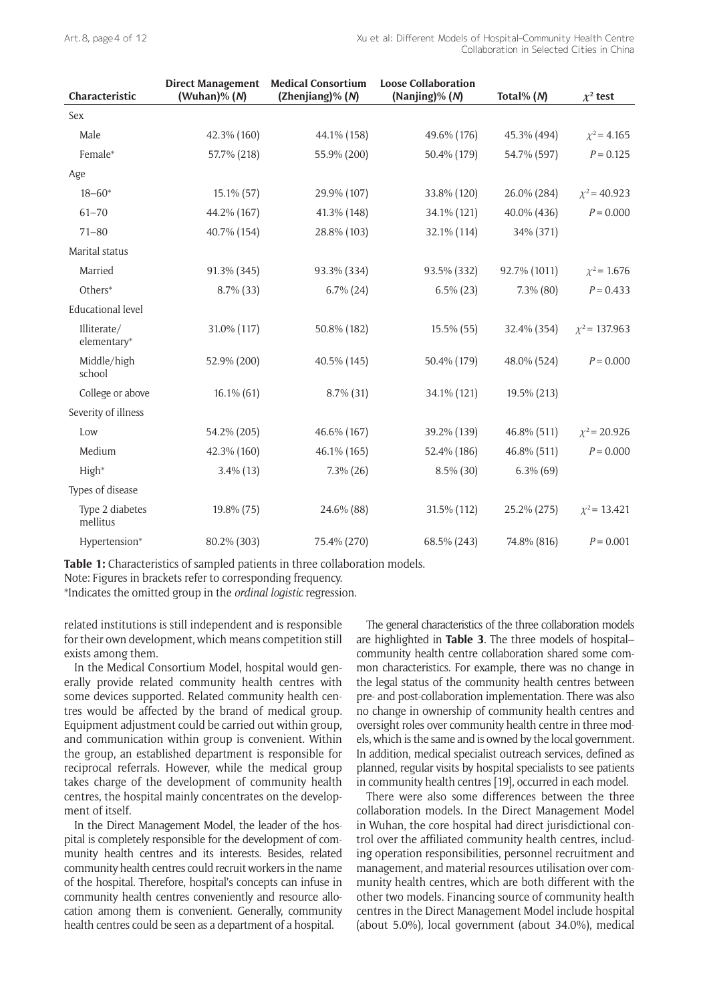| Characteristic              | <b>Direct Management</b><br>(Wuhan)% $(N)$ | <b>Medical Consortium</b><br>(Zhenjiang)% (N) | <b>Loose Collaboration</b><br>(Nanjing)% (N) | Total% $(N)$ | $\chi^2$ test      |
|-----------------------------|--------------------------------------------|-----------------------------------------------|----------------------------------------------|--------------|--------------------|
| Sex                         |                                            |                                               |                                              |              |                    |
| Male                        | 42.3% (160)                                | 44.1% (158)                                   | 49.6% (176)                                  | 45.3% (494)  | $\chi^2$ = 4.165   |
| Female*                     | 57.7% (218)                                | 55.9% (200)                                   | 50.4% (179)                                  | 54.7% (597)  | $P = 0.125$        |
| Age                         |                                            |                                               |                                              |              |                    |
| $18 - 60*$                  | 15.1% (57)                                 | 29.9% (107)                                   | 33.8% (120)                                  | 26.0% (284)  | $\chi^2$ = 40.923  |
| $61 - 70$                   | 44.2% (167)                                | 41.3% (148)                                   | 34.1% (121)                                  | 40.0% (436)  | $P = 0.000$        |
| $71 - 80$                   | 40.7% (154)                                | 28.8% (103)                                   | 32.1% (114)                                  | 34% (371)    |                    |
| Marital status              |                                            |                                               |                                              |              |                    |
| Married                     | 91.3% (345)                                | 93.3% (334)                                   | 93.5% (332)                                  | 92.7% (1011) | $\chi^2$ = 1.676   |
| Others*                     | 8.7% (33)                                  | $6.7\%$ (24)                                  | $6.5\%$ (23)                                 | $7.3\%$ (80) | $P = 0.433$        |
| <b>Educational level</b>    |                                            |                                               |                                              |              |                    |
| Illiterate/<br>elementary*  | 31.0% (117)                                | 50.8% (182)                                   | $15.5\%$ (55)                                | 32.4% (354)  | $\chi^2$ = 137.963 |
| Middle/high<br>school       | 52.9% (200)                                | 40.5% (145)                                   | 50.4% (179)                                  | 48.0% (524)  | $P = 0.000$        |
| College or above            | $16.1\%$ (61)                              | $8.7\%$ (31)                                  | 34.1% (121)                                  | 19.5% (213)  |                    |
| Severity of illness         |                                            |                                               |                                              |              |                    |
| Low                         | 54.2% (205)                                | 46.6% (167)                                   | 39.2% (139)                                  | 46.8% (511)  | $\chi^2$ = 20.926  |
| Medium                      | 42.3% (160)                                | 46.1% (165)                                   | 52.4% (186)                                  | 46.8% (511)  | $P = 0.000$        |
| High*                       | $3.4\%$ (13)                               | $7.3\%$ (26)                                  | $8.5\%$ (30)                                 | $6.3\%$ (69) |                    |
| Types of disease            |                                            |                                               |                                              |              |                    |
| Type 2 diabetes<br>mellitus | 19.8% (75)                                 | 24.6% (88)                                    | 31.5% (112)                                  | 25.2% (275)  | $\chi^2$ = 13.421  |
| Hypertension*               | 80.2% (303)                                | 75.4% (270)                                   | 68.5% (243)                                  | 74.8% (816)  | $P = 0.001$        |

**Table 1:** Characteristics of sampled patients in three collaboration models. Note: Figures in brackets refer to corresponding frequency.

\*Indicates the omitted group in the *ordinal logistic* regression.

related institutions is still independent and is responsible for their own development, which means competition still exists among them.

In the Medical Consortium Model, hospital would generally provide related community health centres with some devices supported. Related community health centres would be affected by the brand of medical group. Equipment adjustment could be carried out within group, and communication within group is convenient. Within the group, an established department is responsible for reciprocal referrals. However, while the medical group takes charge of the development of community health centres, the hospital mainly concentrates on the development of itself.

In the Direct Management Model, the leader of the hospital is completely responsible for the development of community health centres and its interests. Besides, related community health centres could recruit workers in the name of the hospital. Therefore, hospital's concepts can infuse in community health centres conveniently and resource allocation among them is convenient. Generally, community health centres could be seen as a department of a hospital.

The general characteristics of the three collaboration models are highlighted in **Table 3**. The three models of hospital– community health centre collaboration shared some common characteristics. For example, there was no change in the legal status of the community health centres between pre- and post-collaboration implementation. There was also no change in ownership of community health centres and oversight roles over community health centre in three models, which is the same and is owned by the local government. In addition, medical specialist outreach services, defined as planned, regular visits by hospital specialists to see patients in community health centres [19], occurred in each model.

There were also some differences between the three collaboration models. In the Direct Management Model in Wuhan, the core hospital had direct jurisdictional control over the affiliated community health centres, including operation responsibilities, personnel recruitment and management, and material resources utilisation over community health centres, which are both different with the other two models. Financing source of community health centres in the Direct Management Model include hospital (about 5.0%), local government (about 34.0%), medical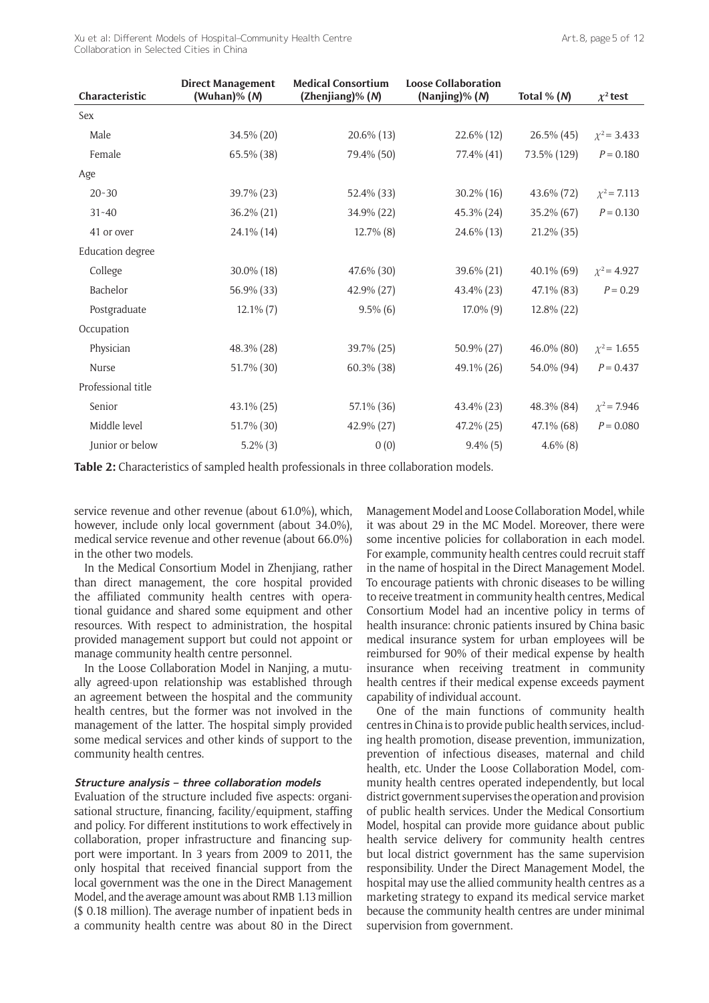Xu et al: Different Models of Hospital–Community Health Centre Collaboration in Selected Cities in China

| Characteristic          | <b>Direct Management</b><br>(Wuhan)% $(N)$ | <b>Medical Consortium</b><br>(Zhenjiang)% (N) | <b>Loose Collaboration</b><br>(Nanjing)% (N) | Total % $(N)$ | $\chi^2$ test    |
|-------------------------|--------------------------------------------|-----------------------------------------------|----------------------------------------------|---------------|------------------|
| Sex                     |                                            |                                               |                                              |               |                  |
| Male                    | 34.5% (20)                                 | 20.6% (13)                                    | $22.6\%$ (12)                                | $26.5\%$ (45) | $\chi^2$ = 3.433 |
| Female                  | 65.5% (38)                                 | 79.4% (50)                                    | 77.4% (41)                                   | 73.5% (129)   | $P = 0.180$      |
| Age                     |                                            |                                               |                                              |               |                  |
| $20 - 30$               | 39.7% (23)                                 | 52.4% (33)                                    | $30.2\%$ (16)                                | 43.6% (72)    | $\chi^2$ = 7.113 |
| $31 - 40$               | 36.2% (21)                                 | 34.9% (22)                                    | 45.3% (24)                                   | 35.2% (67)    | $P = 0.130$      |
| 41 or over              | 24.1% (14)                                 | $12.7\%$ (8)                                  | 24.6% (13)                                   | $21.2\%$ (35) |                  |
| <b>Education</b> degree |                                            |                                               |                                              |               |                  |
| College                 | 30.0% (18)                                 | 47.6% (30)                                    | 39.6% (21)                                   | $40.1\%$ (69) | $\chi^2$ = 4.927 |
| Bachelor                | 56.9% (33)                                 | 42.9% (27)                                    | 43.4% (23)                                   | 47.1% (83)    | $P = 0.29$       |
| Postgraduate            | $12.1\%$ (7)                               | $9.5\%$ (6)                                   | $17.0\%$ (9)                                 | 12.8% (22)    |                  |
| Occupation              |                                            |                                               |                                              |               |                  |
| Physician               | 48.3% (28)                                 | 39.7% (25)                                    | 50.9% (27)                                   | 46.0% (80)    | $\chi^2$ = 1.655 |
| <b>Nurse</b>            | 51.7% (30)                                 | 60.3% (38)                                    | 49.1% (26)                                   | 54.0% (94)    | $P = 0.437$      |
| Professional title      |                                            |                                               |                                              |               |                  |
| Senior                  | 43.1% (25)                                 | 57.1% (36)                                    | 43.4% (23)                                   | 48.3% (84)    | $\chi^2$ = 7.946 |
| Middle level            | 51.7% (30)                                 | 42.9% (27)                                    | 47.2% (25)                                   | 47.1% (68)    | $P = 0.080$      |
| Junior or below         | $5.2\%$ (3)                                | 0(0)                                          | $9.4\%$ (5)                                  | $4.6\%$ (8)   |                  |

**Table 2:** Characteristics of sampled health professionals in three collaboration models.

service revenue and other revenue (about 61.0%), which, however, include only local government (about 34.0%), medical service revenue and other revenue (about 66.0%) in the other two models.

In the Medical Consortium Model in Zhenjiang, rather than direct management, the core hospital provided the affiliated community health centres with operational guidance and shared some equipment and other resources. With respect to administration, the hospital provided management support but could not appoint or manage community health centre personnel.

In the Loose Collaboration Model in Nanjing, a mutually agreed-upon relationship was established through an agreement between the hospital and the community health centres, but the former was not involved in the management of the latter. The hospital simply provided some medical services and other kinds of support to the community health centres.

#### **Structure analysis – three collaboration models**

Evaluation of the structure included five aspects: organisational structure, financing, facility/equipment, staffing and policy. For different institutions to work effectively in collaboration, proper infrastructure and financing support were important. In 3 years from 2009 to 2011, the only hospital that received financial support from the local government was the one in the Direct Management Model, and the average amount was about RMB 1.13 million (\$ 0.18 million). The average number of inpatient beds in a community health centre was about 80 in the Direct Management Model and Loose Collaboration Model, while it was about 29 in the MC Model. Moreover, there were some incentive policies for collaboration in each model. For example, community health centres could recruit staff in the name of hospital in the Direct Management Model. To encourage patients with chronic diseases to be willing to receive treatment in community health centres, Medical Consortium Model had an incentive policy in terms of health insurance: chronic patients insured by China basic medical insurance system for urban employees will be reimbursed for 90% of their medical expense by health insurance when receiving treatment in community health centres if their medical expense exceeds payment capability of individual account.

One of the main functions of community health centres in China is to provide public health services, including health promotion, disease prevention, immunization, prevention of infectious diseases, maternal and child health, etc. Under the Loose Collaboration Model, community health centres operated independently, but local district government supervises the operation and provision of public health services. Under the Medical Consortium Model, hospital can provide more guidance about public health service delivery for community health centres but local district government has the same supervision responsibility. Under the Direct Management Model, the hospital may use the allied community health centres as a marketing strategy to expand its medical service market because the community health centres are under minimal supervision from government.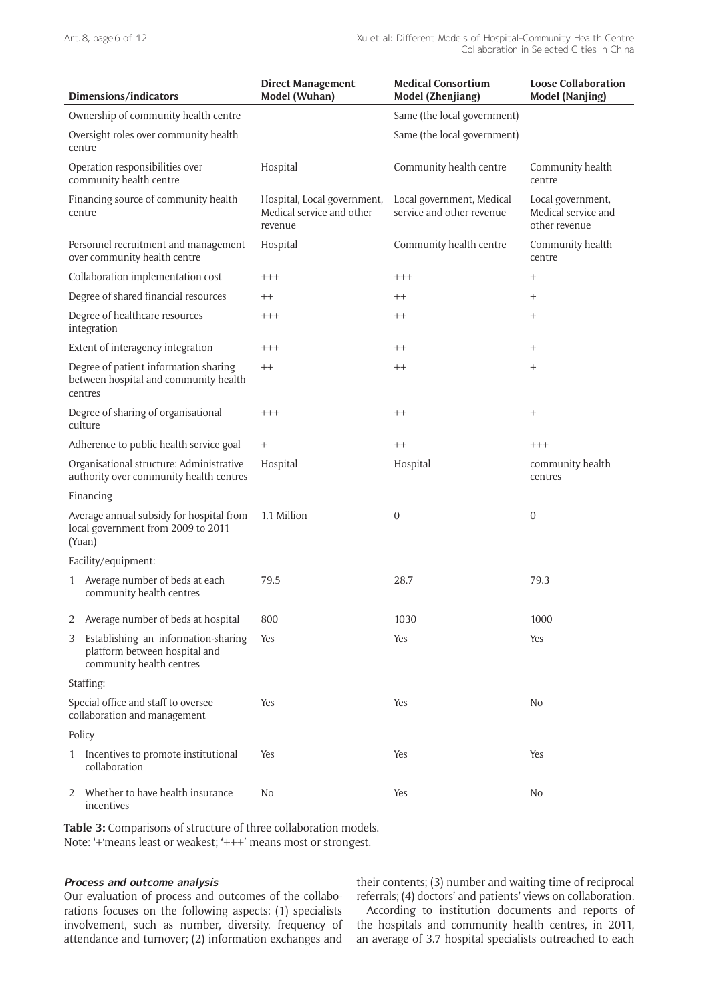|                                                                                          | Dimensions/indicators                                                                            | <b>Direct Management</b><br>Model (Wuhan)                           | <b>Medical Consortium</b><br>Model (Zhenjiang)         | <b>Loose Collaboration</b><br><b>Model (Nanjing)</b>      |
|------------------------------------------------------------------------------------------|--------------------------------------------------------------------------------------------------|---------------------------------------------------------------------|--------------------------------------------------------|-----------------------------------------------------------|
| Ownership of community health centre                                                     |                                                                                                  |                                                                     | Same (the local government)                            |                                                           |
|                                                                                          | Oversight roles over community health<br>centre                                                  |                                                                     | Same (the local government)                            |                                                           |
|                                                                                          | Operation responsibilities over<br>community health centre                                       | Hospital                                                            | Community health centre                                | Community health<br>centre                                |
|                                                                                          | Financing source of community health<br>centre                                                   | Hospital, Local government,<br>Medical service and other<br>revenue | Local government, Medical<br>service and other revenue | Local government,<br>Medical service and<br>other revenue |
|                                                                                          | Personnel recruitment and management<br>over community health centre                             | Hospital                                                            | Community health centre                                | Community health<br>centre                                |
|                                                                                          | Collaboration implementation cost                                                                | $+++$                                                               | $^{+++}$                                               | $^{+}$                                                    |
|                                                                                          | Degree of shared financial resources                                                             | $++$                                                                | $^{++}$                                                | $^{+}$                                                    |
|                                                                                          | Degree of healthcare resources<br>integration                                                    | $^{+++}$                                                            | $^{++}$                                                | $^{+}$                                                    |
|                                                                                          | Extent of interagency integration                                                                | $^{+++}$                                                            | $^{++}$                                                | $^{+}$                                                    |
|                                                                                          | Degree of patient information sharing<br>between hospital and community health<br>centres        | $++$                                                                | $^{++}$                                                | $^{+}$                                                    |
|                                                                                          | Degree of sharing of organisational<br>culture                                                   | $+++$                                                               | $^{++}$                                                | $^{+}$                                                    |
|                                                                                          | Adherence to public health service goal                                                          | $^{+}$                                                              | $++$                                                   | $^{+++}$                                                  |
| Organisational structure: Administrative<br>authority over community health centres      |                                                                                                  | Hospital                                                            | Hospital                                               | community health<br>centres                               |
| Financing                                                                                |                                                                                                  |                                                                     |                                                        |                                                           |
| Average annual subsidy for hospital from<br>local government from 2009 to 2011<br>(Yuan) |                                                                                                  | 1.1 Million                                                         | 0                                                      | 0                                                         |
|                                                                                          | Facility/equipment:                                                                              |                                                                     |                                                        |                                                           |
| 1                                                                                        | Average number of beds at each<br>community health centres                                       | 79.5                                                                | 28.7                                                   | 79.3                                                      |
| 2                                                                                        | Average number of beds at hospital                                                               | 800                                                                 | 1030                                                   | 1000                                                      |
| 3                                                                                        | Establishing an information-sharing<br>platform between hospital and<br>community health centres | Yes                                                                 | Yes                                                    | Yes                                                       |
|                                                                                          | Staffing:                                                                                        |                                                                     |                                                        |                                                           |
| Special office and staff to oversee<br>collaboration and management                      |                                                                                                  | Yes                                                                 | Yes                                                    | No                                                        |
| Policy                                                                                   |                                                                                                  |                                                                     |                                                        |                                                           |
|                                                                                          | 1 Incentives to promote institutional<br>collaboration                                           | Yes                                                                 | Yes                                                    | Yes                                                       |
| 2                                                                                        | Whether to have health insurance<br>incentives                                                   | No                                                                  | Yes                                                    | No                                                        |

**Table 3:** Comparisons of structure of three collaboration models. Note: '+'means least or weakest; '+++' means most or strongest.

#### **Process and outcome analysis**

Our evaluation of process and outcomes of the collaborations focuses on the following aspects: (1) specialists involvement, such as number, diversity, frequency of attendance and turnover; (2) information exchanges and their contents; (3) number and waiting time of reciprocal referrals; (4) doctors' and patients' views on collaboration.

According to institution documents and reports of the hospitals and community health centres, in 2011, an average of 3.7 hospital specialists outreached to each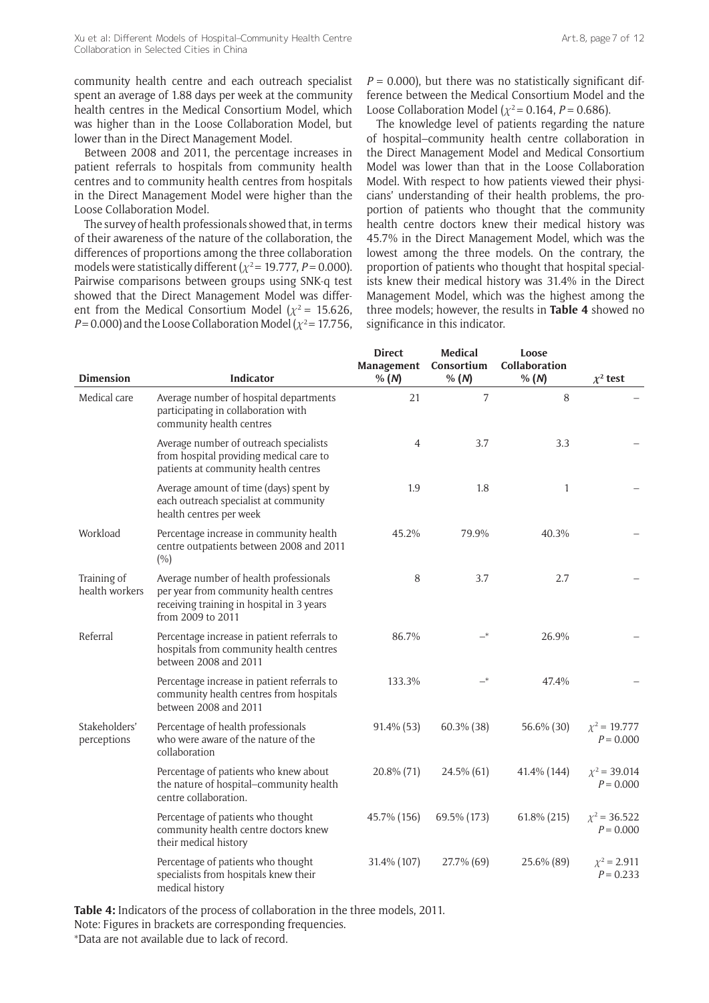Between 2008 and 2011, the percentage increases in patient referrals to hospitals from community health centres and to community health centres from hospitals in the Direct Management Model were higher than the Loose Collaboration Model.

The survey of health professionals showed that, in terms of their awareness of the nature of the collaboration, the differences of proportions among the three collaboration models were statistically different  $(\chi^2 = 19.777, P = 0.000)$ . Pairwise comparisons between groups using SNK-q test showed that the Direct Management Model was different from the Medical Consortium Model  $(\chi^2 = 15.626,$  $P = 0.000$ ) and the Loose Collaboration Model ( $\chi^2$  = 17.756,  $P = 0.000$ ), but there was no statistically significant difference between the Medical Consortium Model and the Loose Collaboration Model ( $\chi^2$  = 0.164, *P* = 0.686).

The knowledge level of patients regarding the nature of hospital–community health centre collaboration in the Direct Management Model and Medical Consortium Model was lower than that in the Loose Collaboration Model. With respect to how patients viewed their physicians' understanding of their health problems, the proportion of patients who thought that the community health centre doctors knew their medical history was 45.7% in the Direct Management Model, which was the lowest among the three models. On the contrary, the proportion of patients who thought that hospital specialists knew their medical history was 31.4% in the Direct Management Model, which was the highest among the three models; however, the results in **Table 4** showed no significance in this indicator.

| <b>Dimension</b>              | <b>Indicator</b>                                                                                                                                   | <b>Direct</b><br>Management<br>% (N) | <b>Medical</b><br>Consortium<br>% (N) | Loose<br>Collaboration<br>% (N) | $\chi^2$ test                    |
|-------------------------------|----------------------------------------------------------------------------------------------------------------------------------------------------|--------------------------------------|---------------------------------------|---------------------------------|----------------------------------|
| Medical care                  | Average number of hospital departments<br>participating in collaboration with<br>community health centres                                          | 21                                   | 7                                     | 8                               |                                  |
|                               | Average number of outreach specialists<br>from hospital providing medical care to<br>patients at community health centres                          | 4                                    | 3.7                                   | 3.3                             |                                  |
|                               | Average amount of time (days) spent by<br>each outreach specialist at community<br>health centres per week                                         | 1.9                                  | 1.8                                   | 1                               |                                  |
| Workload                      | Percentage increase in community health<br>centre outpatients between 2008 and 2011<br>(%)                                                         | 45.2%                                | 79.9%                                 | 40.3%                           |                                  |
| Training of<br>health workers | Average number of health professionals<br>per year from community health centres<br>receiving training in hospital in 3 years<br>from 2009 to 2011 | 8                                    | 3.7                                   | 2.7                             |                                  |
| Referral                      | Percentage increase in patient referrals to<br>hospitals from community health centres<br>between 2008 and 2011                                    | 86.7%                                | $-*$                                  | 26.9%                           |                                  |
|                               | Percentage increase in patient referrals to<br>community health centres from hospitals<br>between 2008 and 2011                                    | 133.3%                               |                                       | 47.4%                           |                                  |
| Stakeholders'<br>perceptions  | Percentage of health professionals<br>who were aware of the nature of the<br>collaboration                                                         | $91.4\%$ (53)                        | $60.3\%$ (38)                         | 56.6% (30)                      | $x^2 = 19.777$<br>$P = 0.000$    |
|                               | Percentage of patients who knew about<br>the nature of hospital-community health<br>centre collaboration.                                          | 20.8% (71)                           | 24.5% (61)                            | 41.4% (144)                     | $\chi^2$ = 39.014<br>$P = 0.000$ |
|                               | Percentage of patients who thought<br>community health centre doctors knew<br>their medical history                                                | 45.7% (156)                          | 69.5% (173)                           | 61.8% (215)                     | $\chi^2$ = 36.522<br>$P = 0.000$ |
|                               | Percentage of patients who thought<br>specialists from hospitals knew their<br>medical history                                                     | 31.4% (107)                          | 27.7% (69)                            | 25.6% (89)                      | $\chi^2$ = 2.911<br>$P = 0.233$  |

**Table 4:** Indicators of the process of collaboration in the three models, 2011. Note: Figures in brackets are corresponding frequencies. \*Data are not available due to lack of record.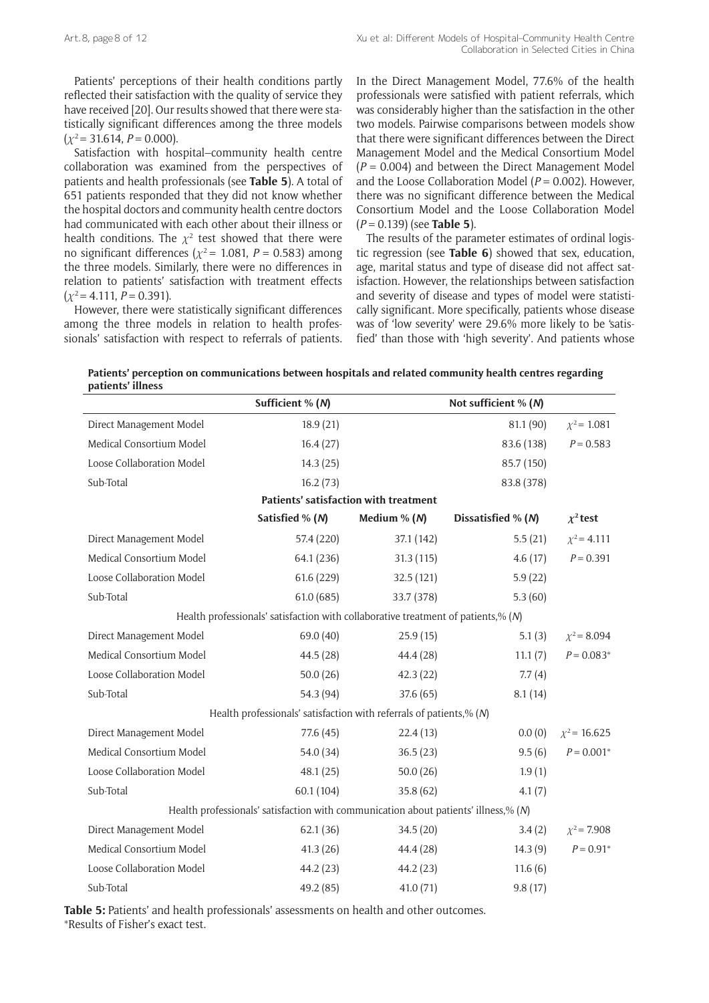Patients' perceptions of their health conditions partly reflected their satisfaction with the quality of service they have received [20]. Our results showed that there were statistically significant differences among the three models  $(x^2 = 31.614, P = 0.000)$ .

Satisfaction with hospital–community health centre collaboration was examined from the perspectives of patients and health professionals (see **Table 5**). A total of 651 patients responded that they did not know whether the hospital doctors and community health centre doctors had communicated with each other about their illness or health conditions. The  $\chi^2$  test showed that there were no significant differences ( $\chi^2$  = 1.081, *P* = 0.583) among the three models. Similarly, there were no differences in relation to patients' satisfaction with treatment effects  $(\chi^2 = 4.111, P = 0.391).$ 

However, there were statistically significant differences among the three models in relation to health professionals' satisfaction with respect to referrals of patients.

In the Direct Management Model, 77.6% of the health professionals were satisfied with patient referrals, which was considerably higher than the satisfaction in the other two models. Pairwise comparisons between models show that there were significant differences between the Direct Management Model and the Medical Consortium Model (*P* = 0.004) and between the Direct Management Model and the Loose Collaboration Model (*P* = 0.002). However, there was no significant difference between the Medical Consortium Model and the Loose Collaboration Model (*P* = 0.139) (see **Table 5**).

The results of the parameter estimates of ordinal logistic regression (see **Table 6**) showed that sex, education, age, marital status and type of disease did not affect satisfaction. However, the relationships between satisfaction and severity of disease and types of model were statistically significant. More specifically, patients whose disease was of 'low severity' were 29.6% more likely to be 'satisfied' than those with 'high severity'. And patients whose

| Patients' perception on communications between hospitals and related community health centres regarding |  |
|---------------------------------------------------------------------------------------------------------|--|
| patients' illness                                                                                       |  |

|                                                                                     | Sufficient % (N)                                                                    |                                       | Not sufficient % (N) |                   |  |  |
|-------------------------------------------------------------------------------------|-------------------------------------------------------------------------------------|---------------------------------------|----------------------|-------------------|--|--|
| Direct Management Model                                                             | 18.9(21)                                                                            |                                       | 81.1 (90)            | $\chi^2$ = 1.081  |  |  |
| Medical Consortium Model                                                            | 16.4(27)                                                                            |                                       | 83.6 (138)           | $P = 0.583$       |  |  |
| Loose Collaboration Model                                                           | 14.3(25)                                                                            |                                       | 85.7 (150)           |                   |  |  |
| Sub-Total                                                                           | 16.2(73)                                                                            |                                       | 83.8 (378)           |                   |  |  |
|                                                                                     |                                                                                     | Patients' satisfaction with treatment |                      |                   |  |  |
|                                                                                     | Satisfied % (N)                                                                     | Medium $% (N)$                        | Dissatisfied % (N)   | $\chi^2$ test     |  |  |
| Direct Management Model                                                             | 57.4 (220)                                                                          | 37.1 (142)                            | 5.5(21)              | $\chi^2$ = 4.111  |  |  |
| Medical Consortium Model                                                            | 64.1 (236)                                                                          | 31.3(115)                             | 4.6(17)              | $P = 0.391$       |  |  |
| Loose Collaboration Model                                                           | 61.6 (229)                                                                          | 32.5(121)                             | 5.9(22)              |                   |  |  |
| Sub-Total                                                                           | 61.0(685)                                                                           | 33.7 (378)                            | 5.3(60)              |                   |  |  |
|                                                                                     | Health professionals' satisfaction with collaborative treatment of patients,% $(N)$ |                                       |                      |                   |  |  |
| Direct Management Model                                                             | 69.0 (40)                                                                           | 25.9(15)                              | 5.1(3)               | $\chi^2$ = 8.094  |  |  |
| Medical Consortium Model                                                            | 44.5(28)                                                                            | 44.4 (28)                             | 11.1(7)              | $P = 0.083*$      |  |  |
| Loose Collaboration Model                                                           | 50.0(26)                                                                            | 42.3(22)                              | 7.7(4)               |                   |  |  |
| Sub-Total                                                                           | 54.3 (94)                                                                           | 37.6(65)                              | 8.1(14)              |                   |  |  |
| Health professionals' satisfaction with referrals of patients,% (N)                 |                                                                                     |                                       |                      |                   |  |  |
| Direct Management Model                                                             | 77.6 (45)                                                                           | 22.4(13)                              | 0.0(0)               | $\chi^2$ = 16.625 |  |  |
| Medical Consortium Model                                                            | 54.0 (34)                                                                           | 36.5(23)                              | 9.5(6)               | $P = 0.001*$      |  |  |
| Loose Collaboration Model                                                           | 48.1(25)                                                                            | 50.0(26)                              | 1.9(1)               |                   |  |  |
| Sub-Total                                                                           | 60.1(104)                                                                           | 35.8(62)                              | 4.1(7)               |                   |  |  |
| Health professionals' satisfaction with communication about patients' illness,% (N) |                                                                                     |                                       |                      |                   |  |  |
| Direct Management Model                                                             | 62.1(36)                                                                            | 34.5(20)                              | 3.4(2)               | $\chi^2$ = 7.908  |  |  |
| Medical Consortium Model                                                            | 41.3(26)                                                                            | 44.4 (28)                             | 14.3(9)              | $P = 0.91*$       |  |  |
| Loose Collaboration Model                                                           | 44.2 (23)                                                                           | 44.2 (23)                             | 11.6(6)              |                   |  |  |
| Sub-Total                                                                           | 49.2 (85)                                                                           | 41.0(71)                              | 9.8(17)              |                   |  |  |

**Table 5:** Patients' and health professionals' assessments on health and other outcomes. \*Results of Fisher's exact test.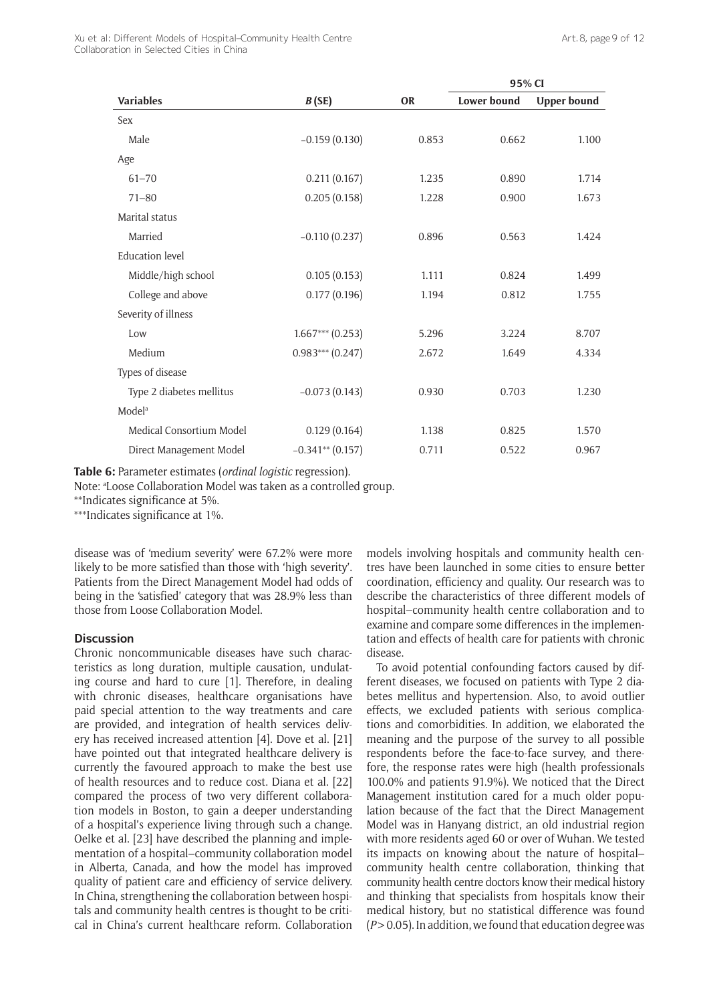Xu et al: Different Models of Hospital–Community Health Centre Collaboration in Selected Cities in China

|                          |                    |           | 95% CI             |                    |
|--------------------------|--------------------|-----------|--------------------|--------------------|
| <b>Variables</b>         | B(SE)              | <b>OR</b> | <b>Lower bound</b> | <b>Upper bound</b> |
| Sex                      |                    |           |                    |                    |
| Male                     | $-0.159(0.130)$    | 0.853     | 0.662              | 1.100              |
| Age                      |                    |           |                    |                    |
| $61 - 70$                | 0.211(0.167)       | 1.235     | 0.890              | 1.714              |
| $71 - 80$                | 0.205(0.158)       | 1.228     | 0.900              | 1.673              |
| Marital status           |                    |           |                    |                    |
| Married                  | $-0.110(0.237)$    | 0.896     | 0.563              | 1.424              |
| <b>Education</b> level   |                    |           |                    |                    |
| Middle/high school       | 0.105(0.153)       | 1.111     | 0.824              | 1.499              |
| College and above        | 0.177(0.196)       | 1.194     | 0.812              | 1.755              |
| Severity of illness      |                    |           |                    |                    |
| Low                      | $1.667***$ (0.253) | 5.296     | 3.224              | 8.707              |
| Medium                   | $0.983***$ (0.247) | 2.672     | 1.649              | 4.334              |
| Types of disease         |                    |           |                    |                    |
| Type 2 diabetes mellitus | $-0.073(0.143)$    | 0.930     | 0.703              | 1.230              |
| Model <sup>a</sup>       |                    |           |                    |                    |
| Medical Consortium Model | 0.129(0.164)       | 1.138     | 0.825              | 1.570              |
| Direct Management Model  | $-0.341**$ (0.157) | 0.711     | 0.522              | 0.967              |

**Table 6:** Parameter estimates (*ordinal logistic* regression).

Note: <sup>a</sup>Loose Collaboration Model was taken as a controlled group.

\*\*Indicates significance at 5%.

\*\*\*Indicates significance at 1%.

disease was of 'medium severity' were 67.2% were more likely to be more satisfied than those with 'high severity'. Patients from the Direct Management Model had odds of being in the 'satisfied' category that was 28.9% less than those from Loose Collaboration Model.

#### **Discussion**

Chronic noncommunicable diseases have such characteristics as long duration, multiple causation, undulating course and hard to cure [1]. Therefore, in dealing with chronic diseases, healthcare organisations have paid special attention to the way treatments and care are provided, and integration of health services delivery has received increased attention [4]. Dove et al. [21] have pointed out that integrated healthcare delivery is currently the favoured approach to make the best use of health resources and to reduce cost. Diana et al. [22] compared the process of two very different collaboration models in Boston, to gain a deeper understanding of a hospital's experience living through such a change. Oelke et al. [23] have described the planning and implementation of a hospital–community collaboration model in Alberta, Canada, and how the model has improved quality of patient care and efficiency of service delivery. In China, strengthening the collaboration between hospitals and community health centres is thought to be critical in China's current healthcare reform. Collaboration models involving hospitals and community health centres have been launched in some cities to ensure better coordination, efficiency and quality. Our research was to describe the characteristics of three different models of hospital–community health centre collaboration and to examine and compare some differences in the implementation and effects of health care for patients with chronic disease.

To avoid potential confounding factors caused by different diseases, we focused on patients with Type 2 diabetes mellitus and hypertension. Also, to avoid outlier effects, we excluded patients with serious complications and comorbidities. In addition, we elaborated the meaning and the purpose of the survey to all possible respondents before the face-to-face survey, and therefore, the response rates were high (health professionals 100.0% and patients 91.9%). We noticed that the Direct Management institution cared for a much older population because of the fact that the Direct Management Model was in Hanyang district, an old industrial region with more residents aged 60 or over of Wuhan. We tested its impacts on knowing about the nature of hospital– community health centre collaboration, thinking that community health centre doctors know their medical history and thinking that specialists from hospitals know their medical history, but no statistical difference was found (*P* > 0.05). In addition, we found that education degree was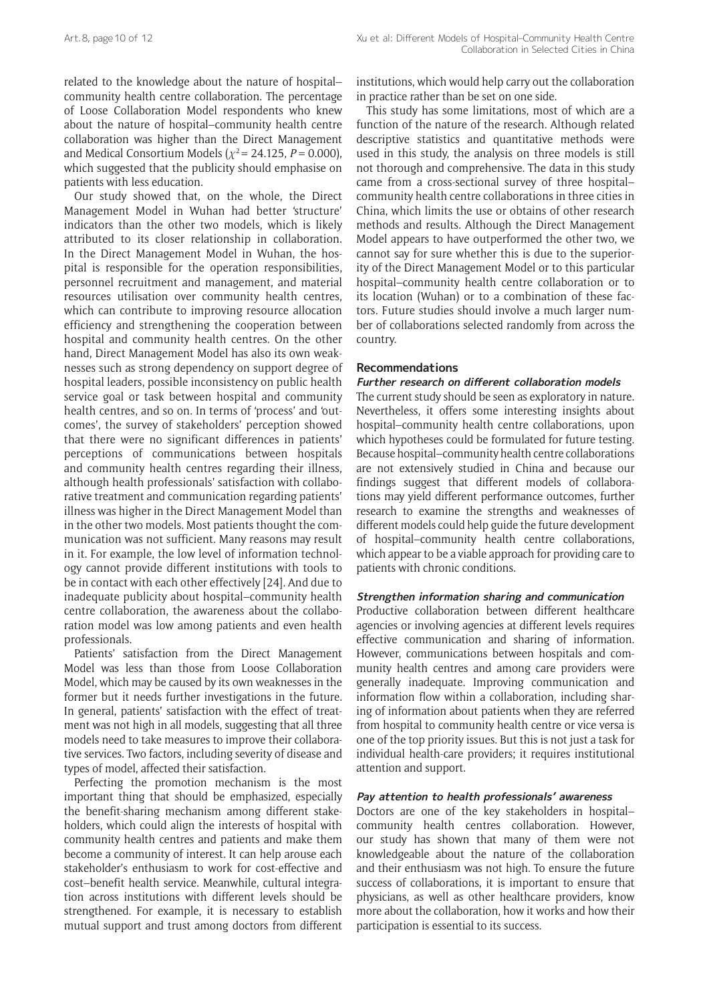related to the knowledge about the nature of hospital– community health centre collaboration. The percentage of Loose Collaboration Model respondents who knew about the nature of hospital–community health centre collaboration was higher than the Direct Management and Medical Consortium Models ( $\chi^2$  = 24.125, *P* = 0.000), which suggested that the publicity should emphasise on patients with less education.

Our study showed that, on the whole, the Direct Management Model in Wuhan had better 'structure' indicators than the other two models, which is likely attributed to its closer relationship in collaboration. In the Direct Management Model in Wuhan, the hospital is responsible for the operation responsibilities, personnel recruitment and management, and material resources utilisation over community health centres, which can contribute to improving resource allocation efficiency and strengthening the cooperation between hospital and community health centres. On the other hand, Direct Management Model has also its own weaknesses such as strong dependency on support degree of hospital leaders, possible inconsistency on public health service goal or task between hospital and community health centres, and so on. In terms of 'process' and 'outcomes', the survey of stakeholders' perception showed that there were no significant differences in patients' perceptions of communications between hospitals and community health centres regarding their illness, although health professionals' satisfaction with collaborative treatment and communication regarding patients' illness was higher in the Direct Management Model than in the other two models. Most patients thought the communication was not sufficient. Many reasons may result in it. For example, the low level of information technology cannot provide different institutions with tools to be in contact with each other effectively [24]. And due to inadequate publicity about hospital–community health centre collaboration, the awareness about the collaboration model was low among patients and even health professionals.

Patients' satisfaction from the Direct Management Model was less than those from Loose Collaboration Model, which may be caused by its own weaknesses in the former but it needs further investigations in the future. In general, patients' satisfaction with the effect of treatment was not high in all models, suggesting that all three models need to take measures to improve their collaborative services. Two factors, including severity of disease and types of model, affected their satisfaction.

Perfecting the promotion mechanism is the most important thing that should be emphasized, especially the benefit-sharing mechanism among different stakeholders, which could align the interests of hospital with community health centres and patients and make them become a community of interest. It can help arouse each stakeholder's enthusiasm to work for cost-effective and cost–benefit health service. Meanwhile, cultural integration across institutions with different levels should be strengthened. For example, it is necessary to establish mutual support and trust among doctors from different institutions, which would help carry out the collaboration in practice rather than be set on one side.

This study has some limitations, most of which are a function of the nature of the research. Although related descriptive statistics and quantitative methods were used in this study, the analysis on three models is still not thorough and comprehensive. The data in this study came from a cross-sectional survey of three hospital– community health centre collaborations in three cities in China, which limits the use or obtains of other research methods and results. Although the Direct Management Model appears to have outperformed the other two, we cannot say for sure whether this is due to the superiority of the Direct Management Model or to this particular hospital–community health centre collaboration or to its location (Wuhan) or to a combination of these factors. Future studies should involve a much larger number of collaborations selected randomly from across the country.

#### **Recommendations**

#### **Further research on different collaboration models**

The current study should be seen as exploratory in nature. Nevertheless, it offers some interesting insights about hospital–community health centre collaborations, upon which hypotheses could be formulated for future testing. Because hospital–community health centre collaborations are not extensively studied in China and because our findings suggest that different models of collaborations may yield different performance outcomes, further research to examine the strengths and weaknesses of different models could help guide the future development of hospital–community health centre collaborations, which appear to be a viable approach for providing care to patients with chronic conditions.

#### **Strengthen information sharing and communication**

Productive collaboration between different healthcare agencies or involving agencies at different levels requires effective communication and sharing of information. However, communications between hospitals and community health centres and among care providers were generally inadequate. Improving communication and information flow within a collaboration, including sharing of information about patients when they are referred from hospital to community health centre or vice versa is one of the top priority issues. But this is not just a task for individual health-care providers; it requires institutional attention and support.

#### **Pay attention to health professionals' awareness**

Doctors are one of the key stakeholders in hospital– community health centres collaboration. However, our study has shown that many of them were not knowledgeable about the nature of the collaboration and their enthusiasm was not high. To ensure the future success of collaborations, it is important to ensure that physicians, as well as other healthcare providers, know more about the collaboration, how it works and how their participation is essential to its success.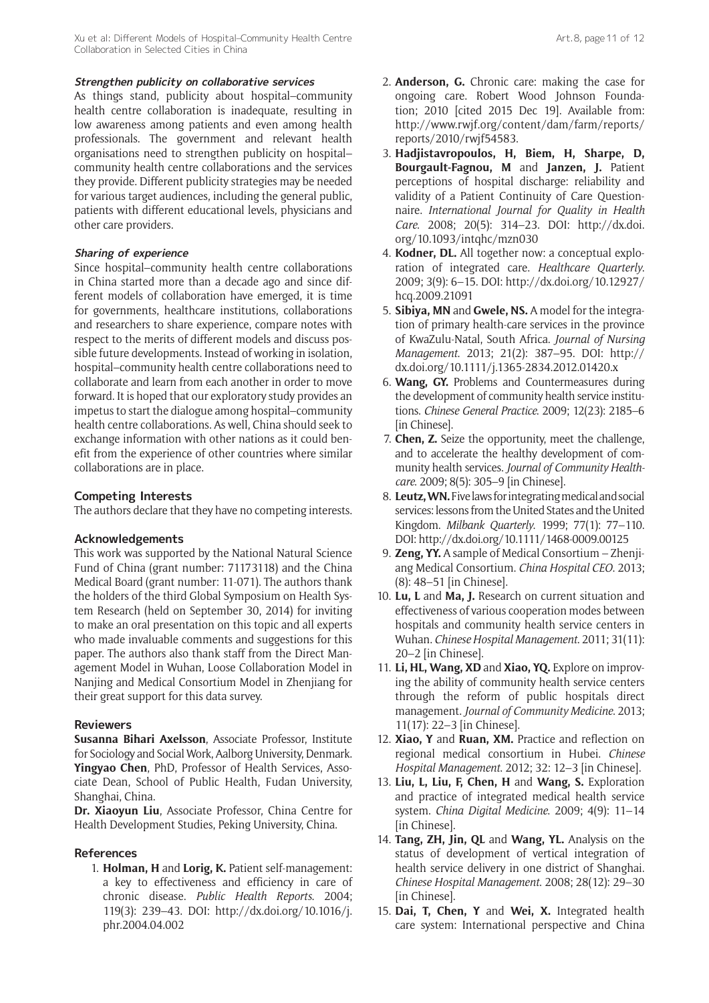As things stand, publicity about hospital–community health centre collaboration is inadequate, resulting in low awareness among patients and even among health professionals. The government and relevant health organisations need to strengthen publicity on hospital– community health centre collaborations and the services they provide. Different publicity strategies may be needed for various target audiences, including the general public, patients with different educational levels, physicians and other care providers.

#### **Sharing of experience**

Since hospital–community health centre collaborations in China started more than a decade ago and since different models of collaboration have emerged, it is time for governments, healthcare institutions, collaborations and researchers to share experience, compare notes with respect to the merits of different models and discuss possible future developments. Instead of working in isolation, hospital–community health centre collaborations need to collaborate and learn from each another in order to move forward. It is hoped that our exploratory study provides an impetus to start the dialogue among hospital–community health centre collaborations. As well, China should seek to exchange information with other nations as it could benefit from the experience of other countries where similar collaborations are in place.

## **Competing Interests**

The authors declare that they have no competing interests.

#### **Acknowledgements**

This work was supported by the National Natural Science Fund of China (grant number: 71173118) and the China Medical Board (grant number: 11-071). The authors thank the holders of the third Global Symposium on Health System Research (held on September 30, 2014) for inviting to make an oral presentation on this topic and all experts who made invaluable comments and suggestions for this paper. The authors also thank staff from the Direct Management Model in Wuhan, Loose Collaboration Model in Nanjing and Medical Consortium Model in Zhenjiang for their great support for this data survey.

#### **Reviewers**

**Susanna Bihari Axelsson**, Associate Professor, Institute for Sociology and Social Work, Aalborg University, Denmark. **Yingyao Chen**, PhD, Professor of Health Services, Associate Dean, School of Public Health, Fudan University, Shanghai, China.

**Dr. Xiaoyun Liu**, Associate Professor, China Centre for Health Development Studies, Peking University, China.

#### **References**

1. **Holman, H** and **Lorig, K.** Patient self-management: a key to effectiveness and efficiency in care of chronic disease. *Public Health Reports*. 2004; 119(3): 239–43. DOI: [http://dx.doi.org/10.1016/j.](http://dx.doi.org/10.1016/j.phr.2004.04.002) [phr.2004.04.002](http://dx.doi.org/10.1016/j.phr.2004.04.002)

- 2. **Anderson, G.** Chronic care: making the case for ongoing care. Robert Wood Johnson Foundation; 2010 [cited 2015 Dec 19]. Available from: [http://www.rwjf.org/content/dam/farm/reports/](http://www.rwjf.org/content/dam/farm/reports/reports/2010/rwjf54583) [reports/2010/rwjf54583](http://www.rwjf.org/content/dam/farm/reports/reports/2010/rwjf54583).
- 3. **Hadjistavropoulos, H, Biem, H, Sharpe, D, Bourgault-Fagnou, M** and **Janzen, J.** Patient perceptions of hospital discharge: reliability and validity of a Patient Continuity of Care Questionnaire. *International Journal for Quality in Health Care*. 2008; 20(5): 314–23. DOI: [http://dx.doi.](http://dx.doi.org/10.1093/intqhc/mzn030) [org/10.1093/intqhc/mzn030](http://dx.doi.org/10.1093/intqhc/mzn030)
- 4. **Kodner, DL.** All together now: a conceptual exploration of integrated care. *Healthcare Quarterly*. 2009; 3(9): 6–15. DOI: [http://dx.doi.org/10.12927/](http://dx.doi.org/10.12927/hcq.2009.21091) [hcq.2009.21091](http://dx.doi.org/10.12927/hcq.2009.21091)
- 5. **Sibiya, MN** and **Gwele, NS.** A model for the integration of primary health-care services in the province of KwaZulu-Natal, South Africa. *Journal of Nursing Management*. 2013; 21(2): 387–95. DOI: [http://](http://dx.doi.org/10.1111/j.1365-2834.2012.01420.x) [dx.doi.org/10.1111/j.1365-2834.2012.01420.x](http://dx.doi.org/10.1111/j.1365-2834.2012.01420.x)
- 6. **Wang, GY.** Problems and Countermeasures during the development of community health service institutions. *Chinese General Practice*. 2009; 12(23): 2185–6 [in Chinese].
- 7. **Chen, Z.** Seize the opportunity, meet the challenge, and to accelerate the healthy development of community health services. *Journal of Community Healthcare*. 2009; 8(5): 305–9 [in Chinese].
- 8. **Leutz, WN.** Five laws for integrating medical and social services: lessons from the United States and the United Kingdom. *Milbank Quarterly*. 1999; 77(1): 77–110. DOI: <http://dx.doi.org/10.1111/1468-0009.00125>
- 9. **Zeng, YY.** A sample of Medical Consortium Zhenjiang Medical Consortium. *China Hospital CEO*. 2013; (8): 48–51 [in Chinese].
- 10. **Lu, L** and **Ma, J.** Research on current situation and effectiveness of various cooperation modes between hospitals and community health service centers in Wuhan. *Chinese Hospital Management*. 2011; 31(11): 20–2 [in Chinese].
- 11. **Li, HL, Wang, XD** and **Xiao, YQ.** Explore on improving the ability of community health service centers through the reform of public hospitals direct management. *Journal of Community Medicine*. 2013; 11(17): 22–3 [in Chinese].
- 12. **Xiao, Y** and **Ruan, XM.** Practice and reflection on regional medical consortium in Hubei. *Chinese Hospital Management*. 2012; 32: 12–3 [in Chinese].
- 13. **Liu, L, Liu, F, Chen, H** and **Wang, S.** Exploration and practice of integrated medical health service system. *China Digital Medicine*. 2009; 4(9): 11–14 [in Chinese].
- 14. **Tang, ZH, Jin, QL** and **Wang, YL.** Analysis on the status of development of vertical integration of health service delivery in one district of Shanghai. *Chinese Hospital Management*. 2008; 28(12): 29–30 [in Chinese].
- 15. **Dai, T, Chen, Y** and **Wei, X.** Integrated health care system: International perspective and China